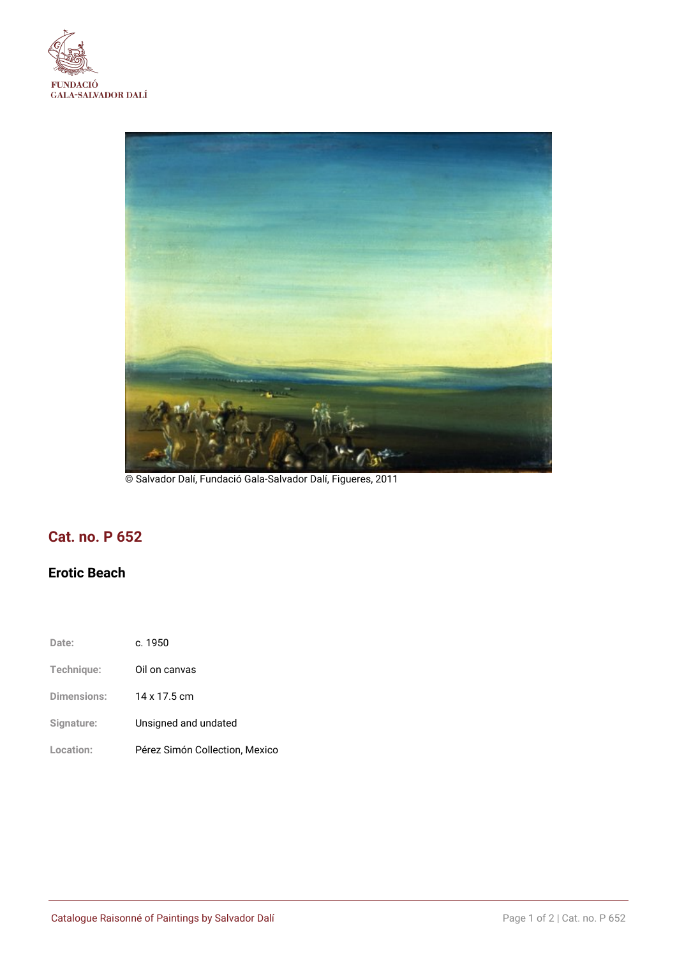



© Salvador Dalí, Fundació Gala-Salvador Dalí, Figueres, 2011

# **Cat. no. P 652**

## **Erotic Beach**

| Date:       | c.1950                         |
|-------------|--------------------------------|
| Technique:  | Oil on canvas                  |
| Dimensions: | 14 x 17.5 cm                   |
| Signature:  | Unsigned and undated           |
| Location:   | Pérez Simón Collection, Mexico |